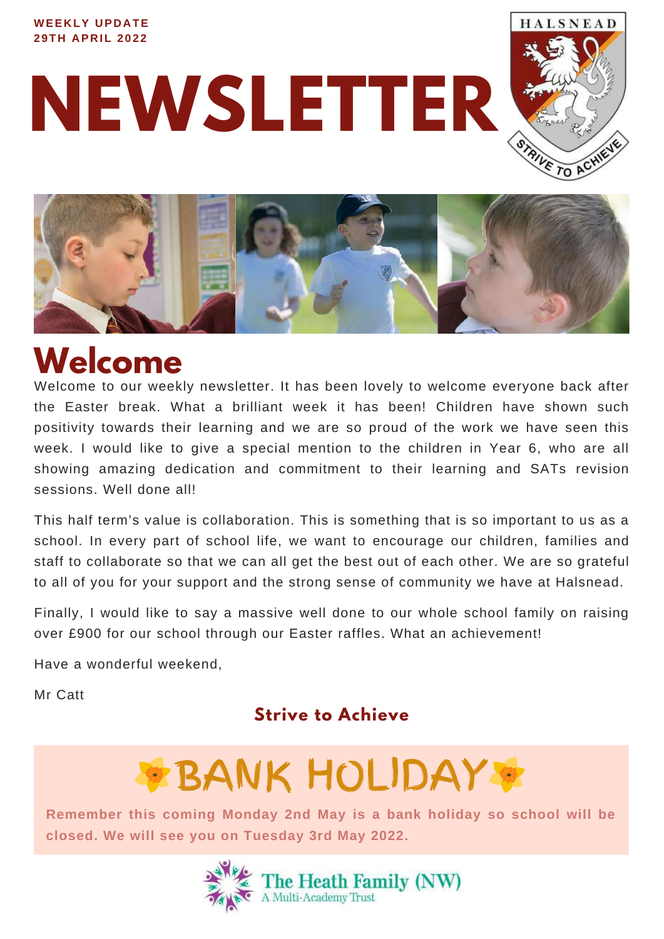**NEWSLETTER** 





# **Welcome**

Welcome to our weekly newsletter. It has been lovely to welcome everyone back after the Easter break. What a brilliant week it has been! Children have shown such positivity towards their learning and we are so proud of the work we have seen this week. I would like to give a special mention to the children in Year 6, who are all showing amazing dedication and commitment to their learning and SATs revision sessions. Well done all!

This half term's value is collaboration. This is something that is so important to us as a school. In every part of school life, we want to encourage our children, families and staff to collaborate so that we can all get the best out of each other. We are so grateful to all of you for your support and the strong sense of community we have at Halsnead.

Finally, I would like to say a massive well done to our whole school family on raising over £900 for our school through our Easter raffles. What an achievement!

Have a wonderful weekend,

Mr Catt

# **Strive to Achieve**



**Remember this coming Monday 2nd May is a bank holiday so school will be closed. We will see you on Tuesday 3rd May 2022.**

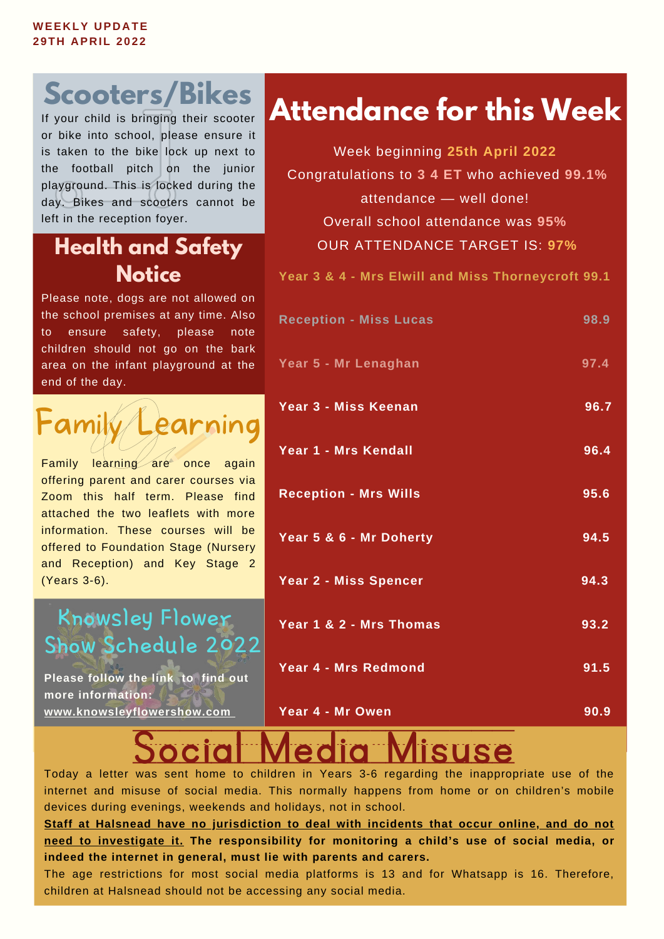# **Scooters/Bikes**

If your child is bringing their scooter or bike into school, please ensure it is taken to the bike lock up next to the football pitch on the junior playground. This is locked during the day. Bikes and scooters cannot be left in the reception foyer.

# **Health and Safety Notice**

Please note, dogs are not allowed on the school premises at any time. Also to ensure safety, please note children should not go on the bark area on the infant playground at the end of the day.

# Family Learning

Family learning are once again offering parent and carer courses via Zoom this half term. Please find attached the two leaflets with more information. These courses will be offered to Foundation Stage (Nursery and Reception) and Key Stage 2 (Years 3-6).

# Knowsley Flower Show Schedule 2022

**Please follow the link to find out more information: [www.knowsleyflowershow.com](http://www.knowsleyflowershow.com/)**

# **Attendance for this Week**

Week beginning **25th April 2022** Congratulations to **3 4 ET** who achieved **99.1%** attendance — well done! Overall school attendance was **95%** OUR ATTENDANCE TARGET IS: **97%**

**Year 3 & 4 - Mrs Elwill and Miss Thorneycroft 99.1**

| <b>Reception - Miss Lucas</b> | 98.9 |
|-------------------------------|------|
| Year 5 - Mr Lenaghan          | 97.4 |
| Year 3 - Miss Keenan          | 96.7 |
| <b>Year 1 - Mrs Kendall</b>   | 96.4 |
| <b>Reception - Mrs Wills</b>  | 95.6 |
| Year 5 & 6 - Mr Doherty       | 94.5 |
| <b>Year 2 - Miss Spencer</b>  | 94.3 |
| Year 1 & 2 - Mrs Thomas       | 93.2 |
| <b>Year 4 - Mrs Redmond</b>   | 91.5 |
|                               |      |

**Year 4 - Mr Owen 90.9**

# Social Media Misuse

internet and misuse of social media. This normally happens from home or on children's mobile devices during evenings, weekends and holidays, not in school.

**Staff at Halsnead have no jurisdiction to deal with incidents that occur online, and do not need to investigate it. The responsibility for monitoring a child's use of social media, or indeed the internet in general, must lie with parents and carers.**

The age restrictions for most social media platforms is 13 and for Whatsapp is 16. Therefore, children at Halsnead should not be accessing any social media.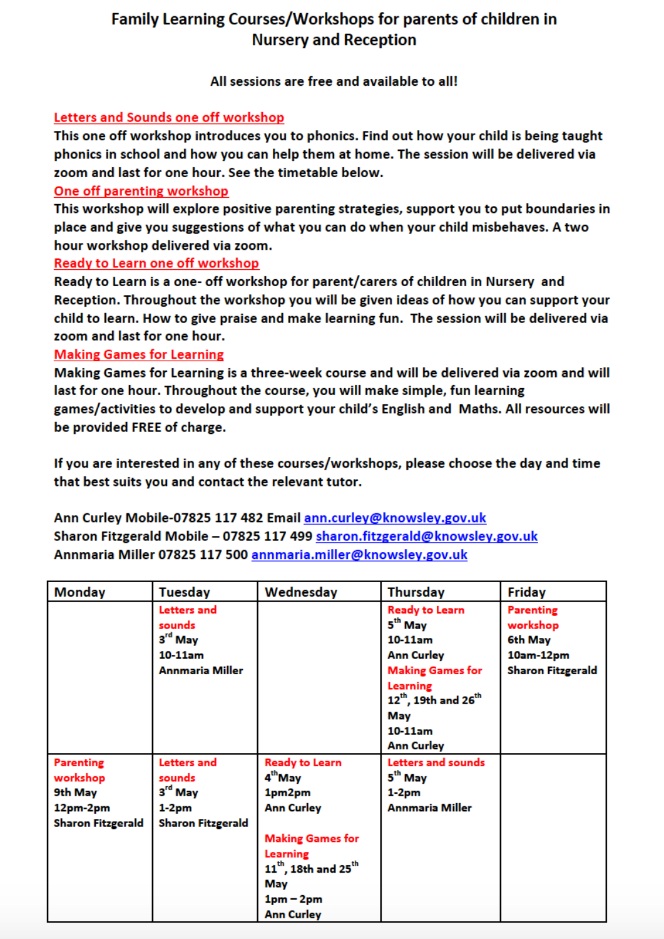# **Family Learning Courses/Workshops for parents of children in Nursery and Reception**

# All sessions are free and available to all!

# **Letters and Sounds one off workshop**

This one off workshop introduces you to phonics. Find out how your child is being taught phonics in school and how you can help them at home. The session will be delivered via zoom and last for one hour. See the timetable below.

## One off parenting workshop

This workshop will explore positive parenting strategies, support you to put boundaries in place and give you suggestions of what you can do when your child misbehaves. A two hour workshop delivered via zoom.

## **Ready to Learn one off workshop**

Ready to Learn is a one- off workshop for parent/carers of children in Nursery and Reception. Throughout the workshop you will be given ideas of how you can support your child to learn. How to give praise and make learning fun. The session will be delivered via zoom and last for one hour.

## **Making Games for Learning**

Making Games for Learning is a three-week course and will be delivered via zoom and will last for one hour. Throughout the course, you will make simple, fun learning games/activities to develop and support your child's English and Maths. All resources will be provided FREE of charge.

If you are interested in any of these courses/workshops, please choose the day and time that best suits you and contact the relevant tutor.

Ann Curley Mobile-07825 117 482 Email ann.curley@knowsley.gov.uk Sharon Fitzgerald Mobile - 07825 117 499 sharon.fitzgerald@knowsley.gov.uk Annmaria Miller 07825 117 500 annmaria.miller@knowsley.gov.uk

| <b>Monday</b>                                                                   | Tuesday                                                                                    | Wednesday                                                                                                                                                                                                     | <b>Thursday</b>                                                                                                                                                                                       | <b>Friday</b>                                                                    |
|---------------------------------------------------------------------------------|--------------------------------------------------------------------------------------------|---------------------------------------------------------------------------------------------------------------------------------------------------------------------------------------------------------------|-------------------------------------------------------------------------------------------------------------------------------------------------------------------------------------------------------|----------------------------------------------------------------------------------|
|                                                                                 | <b>Letters and</b><br>sounds<br>3 <sup>rd</sup> May<br>$10-11am$<br><b>Annmaria Miller</b> |                                                                                                                                                                                                               | <b>Ready to Learn</b><br>5 <sup>th</sup> May<br>10-11am<br><b>Ann Curley</b><br><b>Making Games for</b><br>Learning<br>$12^{th}$ , 19th and 26 <sup>th</sup><br>May<br>$10-11am$<br><b>Ann Curley</b> | <b>Parenting</b><br>workshop<br>6th May<br>10am-12pm<br><b>Sharon Fitzgerald</b> |
| <b>Parenting</b><br>workshop<br>9th May<br>12pm-2pm<br><b>Sharon Fitzgerald</b> | Letters and<br>sounds<br>3 <sup>rd</sup> May<br>$1-2pm$<br><b>Sharon Fitzgerald</b>        | <b>Ready to Learn</b><br>4 <sup>th</sup> May<br>1pm2pm<br><b>Ann Curley</b><br><b>Making Games for</b><br>Learning<br>11 <sup>th</sup> , 18th and 25 <sup>th</sup><br>May<br>$1pm - 2pm$<br><b>Ann Curley</b> | Letters and sounds<br>5 <sup>th</sup> May<br>$1-2pm$<br><b>Annmaria Miller</b>                                                                                                                        |                                                                                  |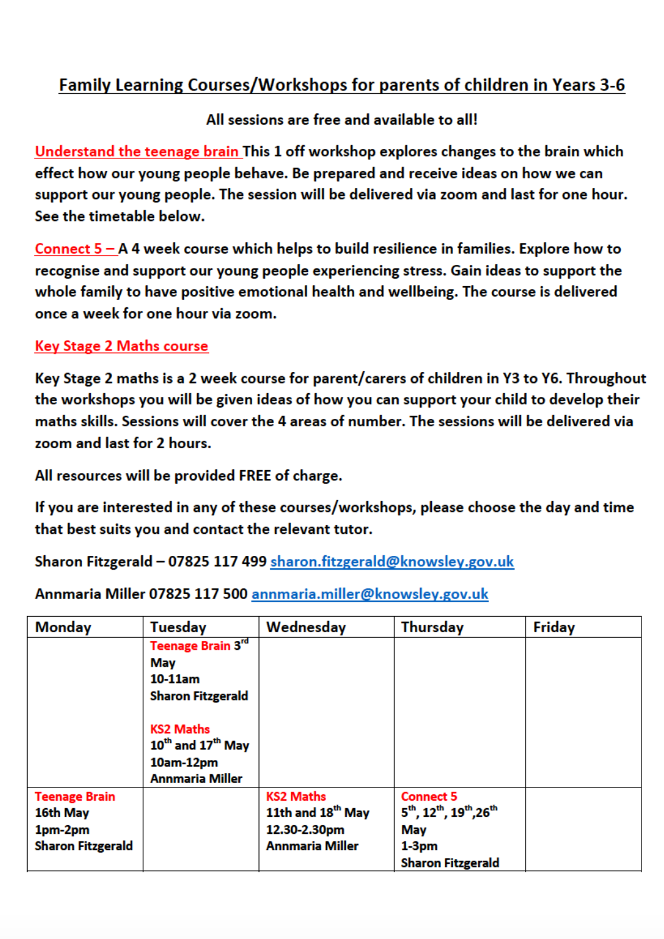# **Family Learning Courses/Workshops for parents of children in Years 3-6**

# All sessions are free and available to all!

Understand the teenage brain This 1 off workshop explores changes to the brain which effect how our young people behave. Be prepared and receive ideas on how we can support our young people. The session will be delivered via zoom and last for one hour. See the timetable below.

<u>Connect 5 – A 4</u> week course which helps to build resilience in families. Explore how to recognise and support our young people experiencing stress. Gain ideas to support the whole family to have positive emotional health and wellbeing. The course is delivered once a week for one hour via zoom.

# **Key Stage 2 Maths course**

Key Stage 2 maths is a 2 week course for parent/carers of children in Y3 to Y6. Throughout the workshops you will be given ideas of how you can support your child to develop their maths skills. Sessions will cover the 4 areas of number. The sessions will be delivered via zoom and last for 2 hours.

All resources will be provided FREE of charge.

If you are interested in any of these courses/workshops, please choose the day and time that best suits you and contact the relevant tutor.

Sharon Fitzgerald - 07825 117 499 sharon.fitzgerald@knowsley.gov.uk

Annmaria Miller 07825 117 500 annmaria.miller@knowsley.gov.uk

| <b>Monday</b>            | Tuesday                                         | Wednesday                     | <b>Thursday</b>                                                          | <b>Friday</b> |
|--------------------------|-------------------------------------------------|-------------------------------|--------------------------------------------------------------------------|---------------|
|                          | Teenage Brain 3 <sup>rd</sup>                   |                               |                                                                          |               |
|                          | May                                             |                               |                                                                          |               |
|                          | 10-11am                                         |                               |                                                                          |               |
|                          | <b>Sharon Fitzgerald</b>                        |                               |                                                                          |               |
|                          | <b>KS2 Maths</b><br>$10^{th}$ and $17^{th}$ May |                               |                                                                          |               |
|                          | 10am-12pm                                       |                               |                                                                          |               |
|                          | <b>Annmaria Miller</b>                          |                               |                                                                          |               |
| <b>Teenage Brain</b>     |                                                 | <b>KS2 Maths</b>              | <b>Connect 5</b>                                                         |               |
| 16th May                 |                                                 | 11th and 18 <sup>th</sup> May | $5^{\text{th}}$ , 12 <sup>th</sup> , 19 <sup>th</sup> , 26 <sup>th</sup> |               |
| 1pm-2pm                  |                                                 | 12.30-2.30pm                  | May                                                                      |               |
| <b>Sharon Fitzgerald</b> |                                                 | <b>Annmaria Miller</b>        | $1-3pm$                                                                  |               |
|                          |                                                 |                               | <b>Sharon Fitzgerald</b>                                                 |               |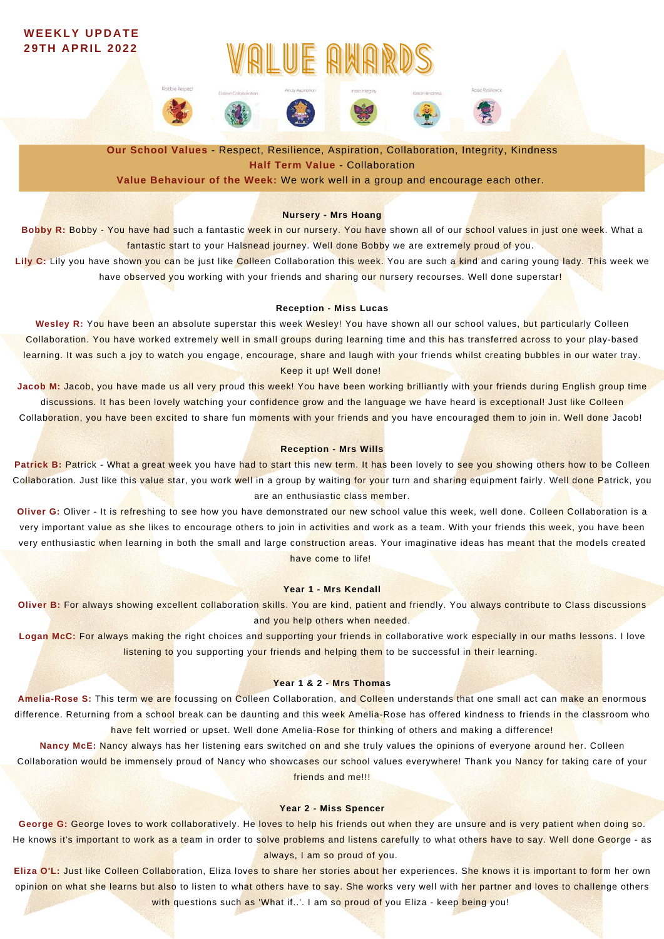# VV aan k







**Value Behaviour of the Week:** We work well in a group and encourage each other.

#### **Nursery - Mrs Hoang**

**Bobby R:** Bobby - You have had such a fantastic week in our nursery. You have shown all of our school values in just one week. What a fantastic start to your Halsnead journey. Well done Bobby we are extremely proud of you.

Lily C: Lily you have shown you can be just like Colleen Collaboration this week. You are such a kind and caring young lady. This week we have observed you working with your friends and sharing our nursery recourses. Well done superstar!

#### **Reception - Miss Lucas**

**Wesley R:** You have been an absolute superstar this week Wesley! You have shown all our school values, but particularly Colleen Collaboration. You have worked extremely well in small groups during learning time and this has transferred across to your play-based learning. It was such a joy to watch you engage, encourage, share and laugh with your friends whilst creating bubbles in our water tray. Keep it up! Well done!

Jacob M: Jacob, you have made us all very proud this week! You have been working brilliantly with your friends during English group time discussions. It has been lovely watching your confidence grow and the language we have heard is exceptional! Just like Colleen

Collaboration, you have been excited to share fun moments with your friends and you have encouraged them to join in. Well done Jacob!

#### **Reception - Mrs Wills**

Patrick B: Patrick - What a great week you have had to start this new term. It has been lovely to see you showing others how to be Colleen Collaboration. Just like this value star, you work well in a group by waiting for your turn and sharing equipment fairly. Well done Patrick, you are an enthusiastic class member.

**Oliver G:** Oliver - It is refreshing to see how you have demonstrated our new school value this week, well done. Colleen Collaboration is a very important value as she likes to encourage others to join in activities and work as a team. With your friends this week, you have been very enthusiastic when learning in both the small and large construction areas. Your imaginative ideas has meant that the models created have come to life!

#### **Year 1 - Mrs Kendall**

**Oliver B:** For always showing excellent collaboration skills. You are kind, patient and friendly. You always contribute to Class discussions and you help others when needed.

Logan McC: For always making the right choices and supporting your friends in collaborative work especially in our maths lessons. I love listening to you supporting your friends and helping them to be successful in their learning.

#### **Year 1 & 2 - Mrs Thomas**

**Amelia-Rose S:** This term we are focussing on Colleen Collaboration, and Colleen understands that one small act can make an enormous difference. Returning from a school break can be daunting and this week Amelia-Rose has offered kindness to friends in the classroom who have felt worried or upset. Well done Amelia-Rose for thinking of others and making a difference!

Nancy McE: Nancy always has her listening ears switched on and she truly values the opinions of everyone around her. Colleen Collaboration would be immensely proud of Nancy who showcases our school values everywhere! Thank you Nancy for taking care of your friends and me!!!

### **Year 2 - Miss Spencer**

**George G:** George loves to work collaboratively. He loves to help his friends out when they are unsure and is very patient when doing so. He knows it's important to work as a team in order to solve problems and listens carefully to what others have to say. Well done George - as always, I am so proud of you.

Eliza O'L: Just like Colleen Collaboration, Eliza loves to share her stories about her experiences. She knows it is important to form her own opinion on what she learns but also to listen to what others have to say. She works very well with her partner and loves to challenge others with questions such as 'What if..'. I am so proud of you Eliza - keep being you!